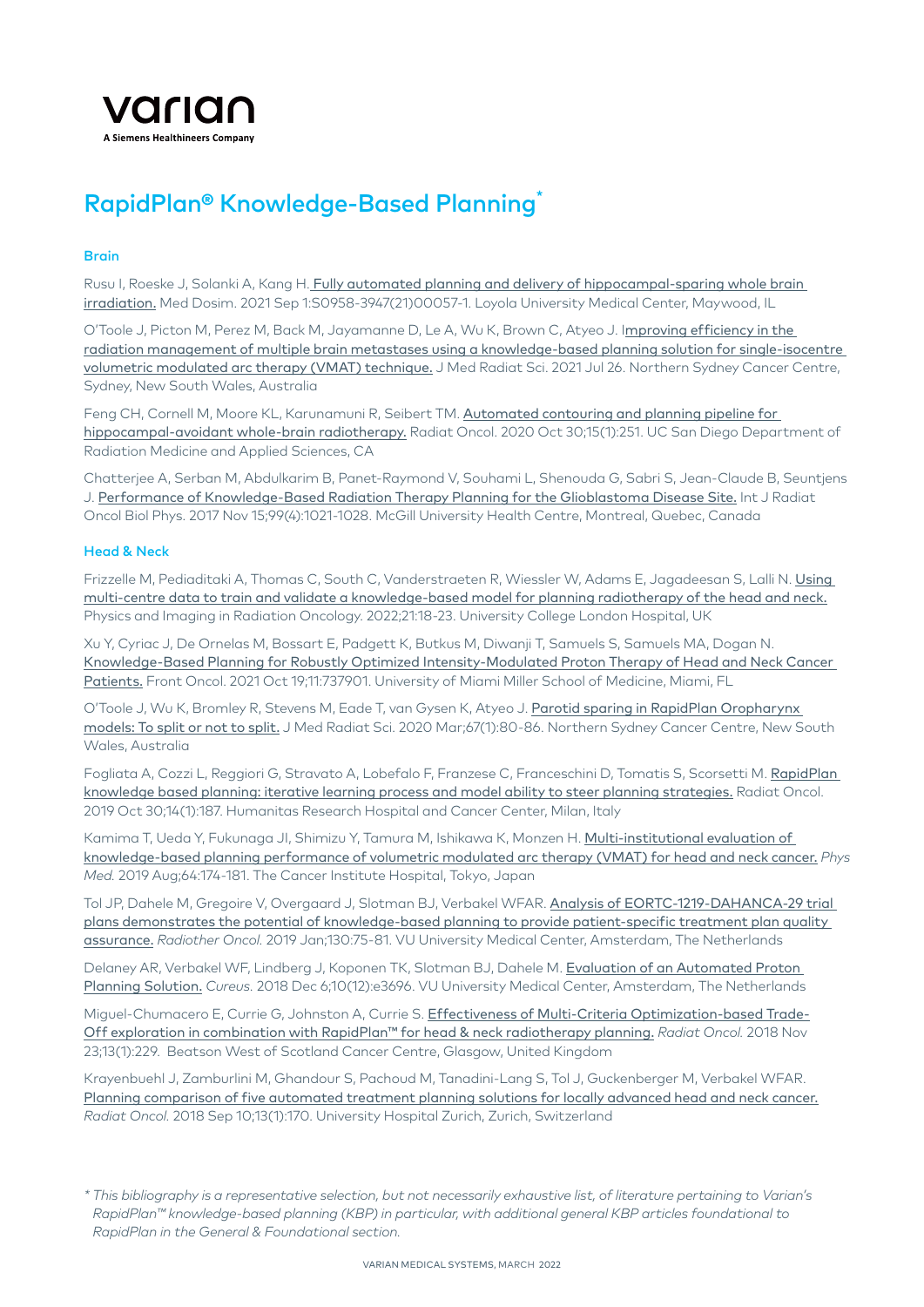

# RapidPlan® Knowledge-Based Planning\*

#### **Brain**

Rusu I, Roeske J, Solanki A, Kang H. [Fully automated planning and delivery of hippocampal-sparing whole brain](https://pubmed.ncbi.nlm.nih.gov/34481718/)  [irradiation.](https://pubmed.ncbi.nlm.nih.gov/34481718/) Med Dosim. 2021 Sep 1:S0958-3947(21)00057-1. Loyola University Medical Center, Maywood, IL

O'Toole J, Picton M, Perez M, Back M, Jayamanne D, Le A, Wu K, Brown C, Atyeo J. I[mproving efficiency in the](https://pubmed.ncbi.nlm.nih.gov/34310846/)  [radiation management of multiple brain metastases using a knowledge-based planning solution for single-isocentre](https://pubmed.ncbi.nlm.nih.gov/34310846/)  [volumetric modulated arc therapy \(VMAT\) technique.](https://pubmed.ncbi.nlm.nih.gov/34310846/) J Med Radiat Sci. 2021 Jul 26. Northern Sydney Cancer Centre, Sydney, New South Wales, Australia

Feng CH, Cornell M, Moore KL, Karunamuni R, Seibert TM. Automated contouring and planning pipeline for [hippocampal-avoidant whole-brain radiotherapy.](https://pubmed.ncbi.nlm.nih.gov/33126894/) Radiat Oncol. 2020 Oct 30;15(1):251. UC San Diego Department of Radiation Medicine and Applied Sciences, CA

Chatterjee A, Serban M, Abdulkarim B, Panet-Raymond V, Souhami L, Shenouda G, Sabri S, Jean-Claude B, Seuntjens J. [Performance of Knowledge-Based Radiation Therapy Planning for the Glioblastoma Disease Site.](https://pubmed.ncbi.nlm.nih.gov/28870791/) Int J Radiat Oncol Biol Phys. 2017 Nov 15;99(4):1021-1028. McGill University Health Centre, Montreal, Quebec, Canada

#### Head & Neck

Frizzelle M, Pediaditaki A, Thomas C, South C, Vanderstraeten R, Wiessler W, Adams E, Jagadeesan S, Lalli N. [Using](https://www.sciencedirect.com/science/article/pii/S2405631622000033)  [multi-centre data to train and validate a knowledge-based model for planning radiotherapy of the head and neck.](https://www.sciencedirect.com/science/article/pii/S2405631622000033) Physics and Imaging in Radiation Oncology. 2022;21:18-23. University College London Hospital, UK

Xu Y, Cyriac J, De Ornelas M, Bossart E, Padgett K, Butkus M, Diwanji T, Samuels S, Samuels MA, Dogan N. [Knowledge-Based Planning for Robustly Optimized Intensity-Modulated Proton Therapy of Head and Neck Cancer](https://pubmed.ncbi.nlm.nih.gov/34737954/)  [Patients.](https://pubmed.ncbi.nlm.nih.gov/34737954/) Front Oncol. 2021 Oct 19;11:737901. University of Miami Miller School of Medicine, Miami, FL

O'Toole J, Wu K, Bromley R, Stevens M, Eade T, van Gysen K, Atyeo J. [Parotid sparing in RapidPlan Oropharynx](https://pubmed.ncbi.nlm.nih.gov/32043819/)  [models: To split or not to split.](https://pubmed.ncbi.nlm.nih.gov/32043819/) J Med Radiat Sci. 2020 Mar;67(1):80-86. Northern Sydney Cancer Centre, New South Wales, Australia

Fogliata A, Cozzi L, Reggiori G, Stravato A, Lobefalo F, Franzese C, Franceschini D, Tomatis S, Scorsetti M. [RapidPlan](https://pubmed.ncbi.nlm.nih.gov/31666094/)  [knowledge based planning: iterative learning process and model ability to steer planning strategies.](https://pubmed.ncbi.nlm.nih.gov/31666094/) Radiat Oncol. 2019 Oct 30;14(1):187. Humanitas Research Hospital and Cancer Center, Milan, Italy

Kamima T, Ueda Y, Fukunaga JI, Shimizu Y, Tamura M, Ishikawa K, Monzen H. [Multi-institutional evaluation of](https://www.sciencedirect.com/science/article/abs/pii/S1120179719301577)  [knowledge-based planning performance of volumetric modulated arc therapy \(VMAT\) for head and neck cancer.](https://www.sciencedirect.com/science/article/abs/pii/S1120179719301577) *Phys Med.* 2019 Aug;64:174-181. The Cancer Institute Hospital, Tokyo, Japan

Tol JP, Dahele M, Gregoire V, Overgaard J, Slotman BJ, Verbakel WFAR. [Analysis of EORTC-1219-DAHANCA-29 trial](https://www.ncbi.nlm.nih.gov/pubmed/30348462)  [plans demonstrates the potential of knowledge-based planning to provide patient-specific treatment plan quality](https://www.ncbi.nlm.nih.gov/pubmed/30348462)  [assurance.](https://www.ncbi.nlm.nih.gov/pubmed/30348462) *Radiother Oncol.* 2019 Jan;130:75-81. VU University Medical Center, Amsterdam, The Netherlands

Delaney AR, Verbakel WF, Lindberg J, Koponen TK, Slotman BJ, Dahele M. [Evaluation of an Automated Proton](https://www.ncbi.nlm.nih.gov/pubmed/30788187)  [Planning Solution.](https://www.ncbi.nlm.nih.gov/pubmed/30788187) *Cureus.* 2018 Dec 6;10(12):e3696. VU University Medical Center, Amsterdam, The Netherlands

Miguel-Chumacero E, Currie G, Johnston A, Currie S. [Effectiveness of Multi-Criteria Optimization-based Trade-](https://www.ncbi.nlm.nih.gov/pubmed/30470254)[Off exploration in combination with RapidPlan™ for head & neck radiotherapy planning.](https://www.ncbi.nlm.nih.gov/pubmed/30470254) *Radiat Oncol.* 2018 Nov 23;13(1):229. Beatson West of Scotland Cancer Centre, Glasgow, United Kingdom

Krayenbuehl J, Zamburlini M, Ghandour S, Pachoud M, Tanadini-Lang S, Tol J, Guckenberger M, Verbakel WFAR. [Planning comparison of five automated treatment planning solutions for locally advanced head and neck cancer.](https://www.ncbi.nlm.nih.gov/pubmed/30201017) *Radiat Oncol.* 2018 Sep 10;13(1):170. University Hospital Zurich, Zurich, Switzerland

*<sup>\*</sup> This bibliography is a representative selection, but not necessarily exhaustive list, of literature pertaining to Varian's RapidPlan™ knowledge-based planning (KBP) in particular, with additional general KBP articles foundational to RapidPlan in the General & Foundational section.*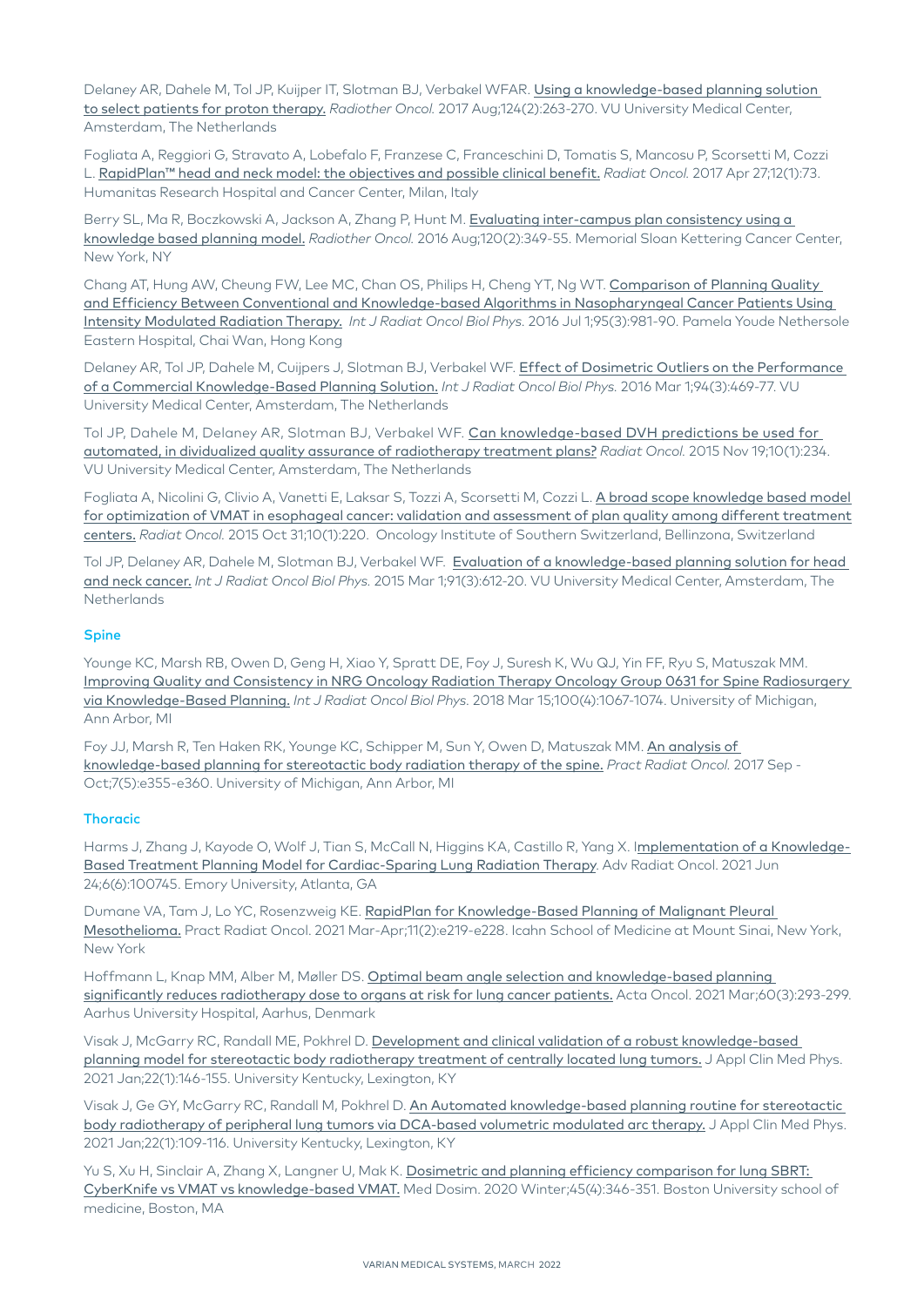Delaney AR, Dahele M, Tol JP, Kuijper IT, Slotman BJ, Verbakel WFAR. Using a knowledge-based planning solution [to select patients for proton therapy.](https://www.ncbi.nlm.nih.gov/pubmed/28411963) *Radiother Oncol.* 2017 Aug;124(2):263-270. VU University Medical Center, Amsterdam, The Netherlands

Fogliata A, Reggiori G, Stravato A, Lobefalo F, Franzese C, Franceschini D, Tomatis S, Mancosu P, Scorsetti M, Cozzi L. [RapidPlan™ head and neck model: the objectives and possible clinical benefit.](https://www.ncbi.nlm.nih.gov/pubmed/28449704) *Radiat Oncol.* 2017 Apr 27;12(1):73. Humanitas Research Hospital and Cancer Center, Milan, Italy

Berry SL, Ma R, Boczkowski A, Jackson A, Zhang P, Hunt M. Evaluating inter-campus plan consistency using a [knowledge based planning model.](https://www.ncbi.nlm.nih.gov/pubmed/27394695) *Radiother Oncol.* 2016 Aug;120(2):349-55. Memorial Sloan Kettering Cancer Center, New York, NY

Chang AT, Hung AW, Cheung FW, Lee MC, Chan OS, Philips H, Cheng YT, Ng WT. Comparison of Planning Quality [and Efficiency Between Conventional and Knowledge-based Algorithms in Nasopharyngeal Cancer Patients Using](https://www.ncbi.nlm.nih.gov/pubmed/27302513)  [Intensity Modulated Radiation Therapy.](https://www.ncbi.nlm.nih.gov/pubmed/27302513) *Int J Radiat Oncol Biol Phys.* 2016 Jul 1;95(3):981-90. Pamela Youde Nethersole Eastern Hospital, Chai Wan, Hong Kong

Delaney AR, Tol JP, Dahele M, Cuijpers J, Slotman BJ, Verbakel WF. [Effect of Dosimetric Outliers on the Performance](https://www.ncbi.nlm.nih.gov/pubmed/26867876)  [of a Commercial Knowledge-Based Planning Solution.](https://www.ncbi.nlm.nih.gov/pubmed/26867876) *Int J Radiat Oncol Biol Phys.* 2016 Mar 1;94(3):469-77. VU University Medical Center, Amsterdam, The Netherlands

Tol JP, Dahele M, Delaney AR, Slotman BJ, Verbakel WF. Can knowledge-based DVH predictions be used for [automated, in dividualized quality assurance of radiotherapy treatment plans?](https://www.ncbi.nlm.nih.gov/pubmed/26584574) *Radiat Oncol.* 2015 Nov 19;10(1):234. VU University Medical Center, Amsterdam, The Netherlands

Fogliata A, Nicolini G, Clivio A, Vanetti E, Laksar S, Tozzi A, Scorsetti M, Cozzi L. A broad scope knowledge based model for optimization of VMAT in esophageal cancer: validation and assessment of plan quality among different treatment [centers.](https://www.ncbi.nlm.nih.gov/pmc/articles/PMC4628288/) *Radiat Oncol.* 2015 Oct 31;10(1):220. Oncology Institute of Southern Switzerland, Bellinzona, Switzerland

Tol JP, Delaney AR, Dahele M, Slotman BJ, Verbakel WF. [Evaluation of a knowledge-based planning solution for head](https://www.ncbi.nlm.nih.gov/pubmed/25680603)  [and neck cancer.](https://www.ncbi.nlm.nih.gov/pubmed/25680603) *Int J Radiat Oncol Biol Phys.* 2015 Mar 1;91(3):612-20. VU University Medical Center, Amsterdam, The **Netherlands** 

#### Spine

Younge KC, Marsh RB, Owen D, Geng H, Xiao Y, Spratt DE, Foy J, Suresh K, Wu QJ, Yin FF, Ryu S, Matuszak MM. [Improving Quality and Consistency in NRG Oncology Radiation Therapy Oncology Group 0631 for Spine Radiosurgery](https://www.ncbi.nlm.nih.gov/pubmed/29485048)  [via Knowledge-Based Planning.](https://www.ncbi.nlm.nih.gov/pubmed/29485048) *Int J Radiat Oncol Biol Phys.* 2018 Mar 15;100(4):1067-1074. University of Michigan, Ann Arbor, MI

Foy JJ, Marsh R, Ten Haken RK, Younge KC, Schipper M, Sun Y, Owen D, Matuszak MM. [An analysis of](https://www.ncbi.nlm.nih.gov/pubmed/28433524)  [knowledge-based planning for stereotactic body radiation therapy of the spine.](https://www.ncbi.nlm.nih.gov/pubmed/28433524) *Pract Radiat Oncol.* 2017 Sep - Oct;7(5):e355-e360. University of Michigan, Ann Arbor, MI

#### **Thoracic**

Harms J, Zhang J, Kayode O, Wolf J, Tian S, McCall N, Higgins KA, Castillo R, Yang X. I[mplementation of a Knowledge-](https://pubmed.ncbi.nlm.nih.gov/34604606/)[Based Treatment Planning Model for Cardiac-Sparing Lung Radiation Therapy](https://pubmed.ncbi.nlm.nih.gov/34604606/). Adv Radiat Oncol. 2021 Jun 24;6(6):100745. Emory University, Atlanta, GA

Dumane VA, Tam J, Lo YC, Rosenzweig KE. [RapidPlan for Knowledge-Based Planning of Malignant Pleural](https://pubmed.ncbi.nlm.nih.gov/32562788/)  [Mesothelioma.](https://pubmed.ncbi.nlm.nih.gov/32562788/) Pract Radiat Oncol. 2021 Mar-Apr;11(2):e219-e228. Icahn School of Medicine at Mount Sinai, New York, New York

Hoffmann L, Knap MM, Alber M, Møller DS. [Optimal beam angle selection and knowledge-based planning](https://pubmed.ncbi.nlm.nih.gov/33306422/)  [significantly reduces radiotherapy dose to organs at risk for lung cancer patients.](https://pubmed.ncbi.nlm.nih.gov/33306422/) Acta Oncol. 2021 Mar;60(3):293-299. Aarhus University Hospital, Aarhus, Denmark

Visak J, McGarry RC, Randall ME, Pokhrel D. [Development and clinical validation of a robust knowledge-based](https://pubmed.ncbi.nlm.nih.gov/33285034/)  [planning model for stereotactic body radiotherapy treatment of centrally located lung tumors.](https://pubmed.ncbi.nlm.nih.gov/33285034/) J Appl Clin Med Phys. 2021 Jan;22(1):146-155. University Kentucky, Lexington, KY

Visak J, Ge GY, McGarry RC, Randall M, Pokhrel D. An Automated knowledge-based planning routine for stereotactic [body radiotherapy of peripheral lung tumors via DCA-based volumetric modulated arc therapy.](https://pubmed.ncbi.nlm.nih.gov/33270975/) J Appl Clin Med Phys. 2021 Jan;22(1):109-116. University Kentucky, Lexington, KY

Yu S, Xu H, Sinclair A, Zhang X, Langner U, Mak K. Dosimetric and planning efficiency comparison for lung SBRT: [CyberKnife vs VMAT vs knowledge-based VMAT.](https://pubmed.ncbi.nlm.nih.gov/32532613/) Med Dosim. 2020 Winter;45(4):346-351. Boston University school of medicine, Boston, MA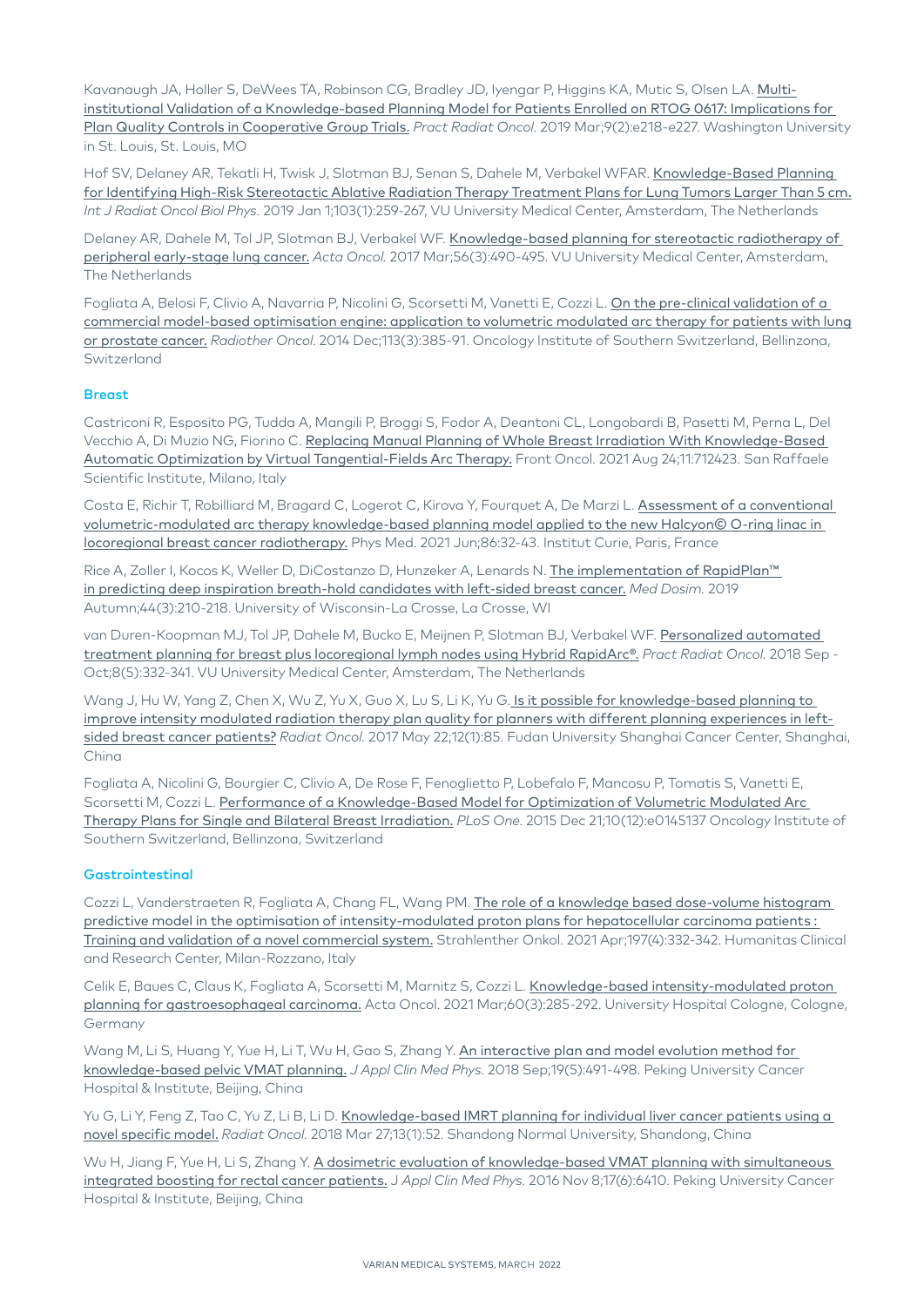Kavanaugh JA, Holler S, DeWees TA, Robinson CG, Bradley JD, Iyengar P, Higgins KA, Mutic S, Olsen LA. [Multi](https://www.ncbi.nlm.nih.gov/pubmed/30562615)[institutional Validation of a Knowledge-based Planning Model for Patients Enrolled on RTOG 0617: Implications for](https://www.ncbi.nlm.nih.gov/pubmed/30562615)  [Plan Quality Controls in Cooperative Group Trials.](https://www.ncbi.nlm.nih.gov/pubmed/30562615) *Pract Radiat Oncol.* 2019 Mar;9(2):e218-e227. Washington University in St. Louis, St. Louis, MO

Hof SV, Delaney AR, Tekatli H, Twisk J, Slotman BJ, Senan S, Dahele M, Verbakel WFAR. Knowledge-Based Planning [for Identifying High-Risk Stereotactic Ablative Radiation Therapy Treatment Plans for Lung Tumors Larger Than 5 cm.](https://www.ncbi.nlm.nih.gov/pubmed/30114461) *Int J Radiat Oncol Biol Phys.* 2019 Jan 1;103(1):259-267, VU University Medical Center, Amsterdam, The Netherlands

Delaney AR, Dahele M, Tol JP, Slotman BJ, Verbakel WF. [Knowledge-based planning for stereotactic radiotherapy of](https://www.ncbi.nlm.nih.gov/pubmed/28067088)  [peripheral early-stage lung cancer.](https://www.ncbi.nlm.nih.gov/pubmed/28067088) *Acta Oncol.* 2017 Mar;56(3):490-495. VU University Medical Center, Amsterdam, The Netherlands

Fogliata A, Belosi F, Clivio A, Navarria P, Nicolini G, Scorsetti M, Vanetti E, Cozzi L. On the pre-clinical validation of a [commercial model-based optimisation engine: application to volumetric modulated arc therapy for patients with lung](https://www.ncbi.nlm.nih.gov/pubmed/25465726)  [or prostate cancer.](https://www.ncbi.nlm.nih.gov/pubmed/25465726) *Radiother Oncol*. 2014 Dec;113(3):385-91. Oncology Institute of Southern Switzerland, Bellinzona, Switzerland

### **Breast**

Castriconi R, Esposito PG, Tudda A, Mangili P, Broggi S, Fodor A, Deantoni CL, Longobardi B, Pasetti M, Perna L, Del Vecchio A, Di Muzio NG, Fiorino C. [Replacing Manual Planning of Whole Breast Irradiation With Knowledge-Based](https://pubmed.ncbi.nlm.nih.gov/34504790/)  [Automatic Optimization by Virtual Tangential-Fields Arc Therapy.](https://pubmed.ncbi.nlm.nih.gov/34504790/) Front Oncol. 2021 Aug 24;11:712423. San Raffaele Scientific Institute, Milano, Italy

Costa E, Richir T, Robilliard M, Bragard C, Logerot C, Kirova Y, Fourquet A, De Marzi L. Assessment of a conventional [volumetric-modulated arc therapy knowledge-based planning model applied to the new Halcyon© O-ring linac in](https://pubmed.ncbi.nlm.nih.gov/34051551/)  [locoregional breast cancer radiotherapy.](https://pubmed.ncbi.nlm.nih.gov/34051551/) Phys Med. 2021 Jun;86:32-43. Institut Curie, Paris, France

Rice A, Zoller I, Kocos K, Weller D, DiCostanzo D, Hunzeker A, Lenards N, The implementation of RapidPlan™ [in predicting deep inspiration breath-hold candidates with left-sided breast cancer.](https://www.ncbi.nlm.nih.gov/pubmed/30166077) *Med Dosim.* 2019 Autumn;44(3):210-218. University of Wisconsin-La Crosse, La Crosse, WI

van Duren-Koopman MJ, Tol JP, Dahele M, Bucko E, Meijnen P, Slotman BJ, Verbakel WF. [Personalized automated](https://www.ncbi.nlm.nih.gov/pubmed/29907505)  [treatment planning for breast plus locoregional lymph nodes using Hybrid RapidArc®.](https://www.ncbi.nlm.nih.gov/pubmed/29907505) *Pract Radiat Oncol.* 2018 Sep - Oct;8(5):332-341. VU University Medical Center, Amsterdam, The Netherlands

Wang J, Hu W, Yang Z, Chen X, Wu Z, Yu X, Guo X, Lu S, Li K, Yu G. Is it possible for knowledge-based planning to [improve intensity modulated radiation therapy plan quality for planners with different planning experiences in left](https://www.ncbi.nlm.nih.gov/pmc/articles/PMC5440994/)[sided breast cancer patients?](https://www.ncbi.nlm.nih.gov/pmc/articles/PMC5440994/) *Radiat Oncol.* 2017 May 22;12(1):85. Fudan University Shanghai Cancer Center, Shanghai, China

Fogliata A, Nicolini G, Bourgier C, Clivio A, De Rose F, Fenoglietto P, Lobefalo F, Mancosu P, Tomatis S, Vanetti E, Scorsetti M, Cozzi L. [Performance of a Knowledge-Based Model for Optimization of Volumetric Modulated Arc](https://www.ncbi.nlm.nih.gov/pubmed/26691687)  [Therapy Plans for Single and Bilateral Breast Irradiation.](https://www.ncbi.nlm.nih.gov/pubmed/26691687) *PLoS One*. 2015 Dec 21;10(12):e0145137 Oncology Institute of Southern Switzerland, Bellinzona, Switzerland

#### **Gastrointestinal**

Cozzi L, Vanderstraeten R, Fogliata A, Chang FL, Wang PM. The role of a knowledge based dose-volume histogram [predictive model in the optimisation of intensity-modulated proton plans for hepatocellular carcinoma patients :](https://pubmed.ncbi.nlm.nih.gov/32676685/)  [Training and validation of a novel commercial system.](https://pubmed.ncbi.nlm.nih.gov/32676685/) Strahlenther Onkol. 2021 Apr;197(4):332-342. Humanitas Clinical and Research Center, Milan-Rozzano, Italy

Celik E, Baues C, Claus K, Fogliata A, Scorsetti M, Marnitz S, Cozzi L. [Knowledge-based intensity-modulated proton](https://pubmed.ncbi.nlm.nih.gov/33170066/)  [planning for gastroesophageal carcinoma.](https://pubmed.ncbi.nlm.nih.gov/33170066/) Acta Oncol. 2021 Mar;60(3):285-292. University Hospital Cologne, Cologne, Germany

Wang M, Li S, Huang Y, Yue H, Li T, Wu H, Gao S, Zhang Y. An interactive plan and model evolution method for [knowledge-based pelvic VMAT planning.](https://www.ncbi.nlm.nih.gov/pubmed/29984464) *J Appl Clin Med Phys.* 2018 Sep;19(5):491-498. Peking University Cancer Hospital & Institute, Beijing, China

Yu G, Li Y, Feng Z, Tao C, Yu Z, Li B, Li D. Knowledge-based IMRT planning for individual liver cancer patients using a [novel specific model.](https://www.ncbi.nlm.nih.gov/pubmed/29587782) *Radiat Oncol.* 2018 Mar 27;13(1):52. Shandong Normal University, Shandong, China

Wu H, Jiang F, Yue H, Li S, Zhang Y. A dosimetric evaluation of knowledge-based VMAT planning with simultaneous [integrated boosting for rectal cancer patients.](https://www.ncbi.nlm.nih.gov/pubmed/27929483) J *Appl Clin Med Phys.* 2016 Nov 8;17(6):6410. Peking University Cancer Hospital & Institute, Beijing, China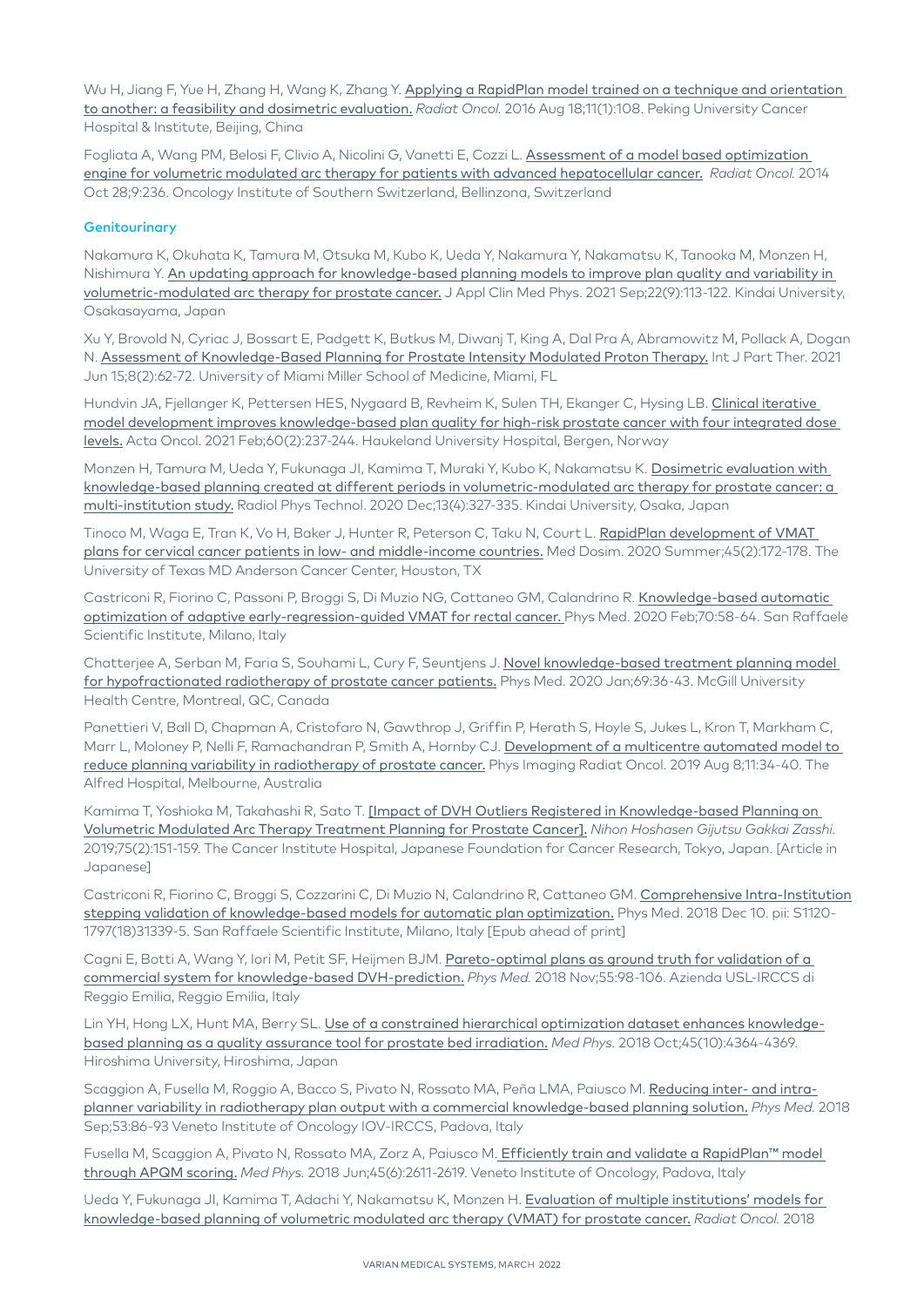Wu H, Jiang F, Yue H, Zhang H, Wang K, Zhang Y. Applying a RapidPlan model trained on a technique and orientation [to another: a feasibility and dosimetric evaluation.](https://www.ncbi.nlm.nih.gov/pmc/articles/PMC4990878/) *Radiat Oncol.* 2016 Aug 18;11(1):108. Peking University Cancer Hospital & Institute, Beijing, China

Fogliata A, Wang PM, Belosi F, Clivio A, Nicolini G, Vanetti E, Cozzi L. [Assessment of a model based optimization](https://www.ncbi.nlm.nih.gov/pubmed/25348465)  [engine for volumetric modulated arc therapy for patients with advanced hepatocellular cancer.](https://www.ncbi.nlm.nih.gov/pubmed/25348465) *Radiat Oncol.* 2014 Oct 28;9:236. Oncology Institute of Southern Switzerland, Bellinzona, Switzerland

#### **Genitourinary**

Nakamura K, Okuhata K, Tamura M, Otsuka M, Kubo K, Ueda Y, Nakamura Y, Nakamatsu K, Tanooka M, Monzen H, Nishimura Y. An updating approach for knowledge-based planning models to improve plan quality and variability in [volumetric-modulated arc therapy for prostate cancer.](https://pubmed.ncbi.nlm.nih.gov/34338435/) J Appl Clin Med Phys. 2021 Sep;22(9):113-122. Kindai University, Osakasayama, Japan

Xu Y, Brovold N, Cyriac J, Bossart E, Padgett K, Butkus M, Diwanj T, King A, Dal Pra A, Abramowitz M, Pollack A, Dogan N. [Assessment of Knowledge-Based Planning for Prostate Intensity Modulated Proton Therapy.](https://pubmed.ncbi.nlm.nih.gov/34722812/) Int J Part Ther. 2021 Jun 15;8(2):62-72. University of Miami Miller School of Medicine, Miami, FL

Hundvin JA, Fjellanger K, Pettersen HES, Nygaard B, Revheim K, Sulen TH, Ekanger C, Hysing LB. [Clinical iterative](https://pubmed.ncbi.nlm.nih.gov/33030972/)  [model development improves knowledge-based plan quality for high-risk prostate cancer with four integrated dose](https://pubmed.ncbi.nlm.nih.gov/33030972/)  [levels.](https://pubmed.ncbi.nlm.nih.gov/33030972/) Acta Oncol. 2021 Feb;60(2):237-244. Haukeland University Hospital, Bergen, Norway

Monzen H, Tamura M, Ueda Y, Fukunaga JI, Kamima T, Muraki Y, Kubo K, Nakamatsu K. [Dosimetric evaluation with](https://pubmed.ncbi.nlm.nih.gov/32986184/)  [knowledge-based planning created at different periods in volumetric-modulated arc therapy for prostate cancer: a](https://pubmed.ncbi.nlm.nih.gov/32986184/)  [multi-institution study.](https://pubmed.ncbi.nlm.nih.gov/32986184/) Radiol Phys Technol. 2020 Dec;13(4):327-335. Kindai University, Osaka, Japan

Tinoco M, Waga E, Tran K, Vo H, Baker J, Hunter R, Peterson C, Taku N, Court L. RapidPlan development of VMAT [plans for cervical cancer patients in low- and middle-income countries.](https://pubmed.ncbi.nlm.nih.gov/31740042/) Med Dosim. 2020 Summer;45(2):172-178. The University of Texas MD Anderson Cancer Center, Houston, TX

Castriconi R, Fiorino C, Passoni P, Broggi S, Di Muzio NG, Cattaneo GM, Calandrino R. Knowledge-based automatic [optimization of adaptive early-regression-guided VMAT for rectal cancer.](https://pubmed.ncbi.nlm.nih.gov/31982788/) Phys Med. 2020 Feb;70:58-64. San Raffaele Scientific Institute, Milano, Italy

Chatterjee A, Serban M, Faria S, Souhami L, Cury F, Seuntjens J. [Novel knowledge-based treatment planning model](https://pubmed.ncbi.nlm.nih.gov/31816503/)  [for hypofractionated radiotherapy of prostate cancer patients.](https://pubmed.ncbi.nlm.nih.gov/31816503/) Phys Med. 2020 Jan;69:36-43. McGill University Health Centre, Montreal, QC, Canada

Panettieri V, Ball D, Chapman A, Cristofaro N, Gawthrop J, Griffin P, Herath S, Hoyle S, Jukes L, Kron T, Markham C, Marr L, Moloney P, Nelli F, Ramachandran P, Smith A, Hornby CJ. Development of a multicentre automated model to [reduce planning variability in radiotherapy of prostate cancer.](https://pubmed.ncbi.nlm.nih.gov/33458275/) Phys Imaging Radiat Oncol. 2019 Aug 8;11:34-40. The Alfred Hospital, Melbourne, Australia

Kamima T, Yoshioka M, Takahashi R, Sato T. [\[Impact of DVH Outliers Registered in Knowledge-based Planning on](https://www.ncbi.nlm.nih.gov/pubmed/30787221)  [Volumetric Modulated Arc Therapy Treatment Planning for Prostate Cancer\].](https://www.ncbi.nlm.nih.gov/pubmed/30787221) *Nihon Hoshasen Gijutsu Gakkai Zasshi.* 2019;75(2):151-159. The Cancer Institute Hospital, Japanese Foundation for Cancer Research, Tokyo, Japan. [Article in Japanese]

Castriconi R, Fiorino C, Broggi S, Cozzarini C, Di Muzio N, Calandrino R, Cattaneo GM. [Comprehensive Intra-Institution](https://www.ncbi.nlm.nih.gov/pubmed/30545736)  [stepping validation of knowledge-based models for automatic plan optimization.](https://www.ncbi.nlm.nih.gov/pubmed/30545736) Phys Med. 2018 Dec 10. pii: S1120- 1797(18)31339-5. San Raffaele Scientific Institute, Milano, Italy [Epub ahead of print]

Cagni E, Botti A, Wang Y, Iori M, Petit SF, Heijmen BJM. Pareto-optimal plans as ground truth for validation of a [commercial system for knowledge-based DVH-prediction.](https://www.ncbi.nlm.nih.gov/pubmed/30471826) *Phys Med.* 2018 Nov;55:98-106. Azienda USL-IRCCS di Reggio Emilia, Reggio Emilia, Italy

Lin YH, Hong LX, Hunt MA, Berry SL. [Use of a constrained hierarchical optimization dataset enhances knowledge](https://www.ncbi.nlm.nih.gov/pubmed/30168160)[based planning as a quality assurance tool for prostate bed irradiation.](https://www.ncbi.nlm.nih.gov/pubmed/30168160) *Med Phys.* 2018 Oct;45(10):4364-4369. Hiroshima University, Hiroshima, Japan

Scaggion A, Fusella M, Roggio A, Bacco S, Pivato N, Rossato MA, Peña LMA, Paiusco M. [Reducing inter- and intra](https://www.ncbi.nlm.nih.gov/pubmed/30241759)[planner variability in radiotherapy plan output with a commercial knowledge-based planning solution.](https://www.ncbi.nlm.nih.gov/pubmed/30241759) *Phys Med.* 2018 Sep;53:86-93 Veneto Institute of Oncology IOV-IRCCS, Padova, Italy

Fusella M, Scaggion A, Pivato N, Rossato MA, Zorz A, Paiusco M. [Efficiently train and validate a RapidPlan™ model](https://www.ncbi.nlm.nih.gov/pubmed/29611213)  [through APQM scoring.](https://www.ncbi.nlm.nih.gov/pubmed/29611213) *Med Phys.* 2018 Jun;45(6):2611-2619. Veneto Institute of Oncology, Padova, Italy

Ueda Y, Fukunaga JI, Kamima T, Adachi Y, Nakamatsu K, Monzen H. [Evaluation of multiple institutions' models for](https://www.ncbi.nlm.nih.gov/pubmed/29558940)  [knowledge-based planning of volumetric modulated arc therapy \(VMAT\) for prostate cancer.](https://www.ncbi.nlm.nih.gov/pubmed/29558940) *Radiat Oncol.* 2018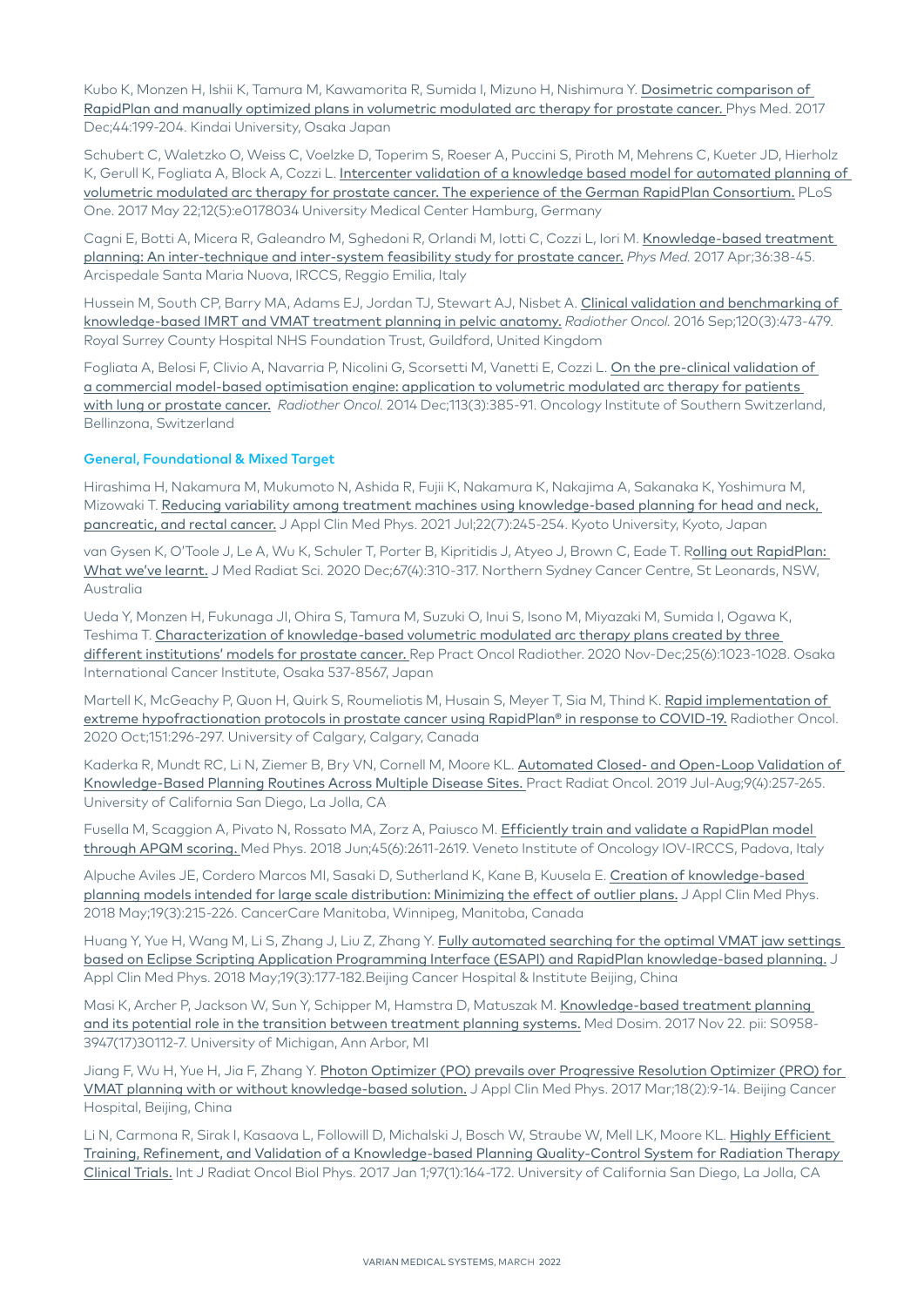Kubo K, Monzen H, Ishii K, Tamura M, Kawamorita R, Sumida I, Mizuno H, Nishimura Y. Dosimetric comparison of [RapidPlan and manually optimized plans in volumetric modulated arc therapy for prostate cancer.](https://www.ncbi.nlm.nih.gov/pubmed/28705507) Phys Med. 2017 Dec;44:199-204. Kindai University, Osaka Japan

Schubert C, Waletzko O, Weiss C, Voelzke D, Toperim S, Roeser A, Puccini S, Piroth M, Mehrens C, Kueter JD, Hierholz K, Gerull K, Fogliata A, Block A, Cozzi L. Intercenter validation of a knowledge based model for automated planning of [volumetric modulated arc therapy for prostate cancer. The experience of the German RapidPlan Consortium.](https://www.ncbi.nlm.nih.gov/pubmed/28531226) PLoS One. 2017 May 22;12(5):e0178034 University Medical Center Hamburg, Germany

Cagni E, Botti A, Micera R, Galeandro M, Sghedoni R, Orlandi M, Iotti C, Cozzi L, Iori M. Knowledge-based treatment [planning: An inter-technique and inter-system feasibility study for prostate cancer.](https://www.ncbi.nlm.nih.gov/pubmed/28410684) *Phys Med.* 2017 Apr;36:38-45. Arcispedale Santa Maria Nuova, IRCCS, Reggio Emilia, Italy

Hussein M, South CP, Barry MA, Adams EJ, Jordan TJ, Stewart AJ, Nisbet A. Clinical validation and benchmarking of [knowledge-based IMRT and VMAT treatment planning in pelvic anatomy.](https://www.ncbi.nlm.nih.gov/pubmed/27427380) *Radiother Oncol.* 2016 Sep;120(3):473-479. Royal Surrey County Hospital NHS Foundation Trust, Guildford, United Kingdom

Fogliata A, Belosi F, Clivio A, Navarria P, Nicolini G, Scorsetti M, Vanetti E, Cozzi L. [On the pre-clinical validation of](https://www.ncbi.nlm.nih.gov/pubmed/25465726)  [a commercial model-based optimisation engine: application to volumetric modulated arc therapy for patients](https://www.ncbi.nlm.nih.gov/pubmed/25465726)  [with lung or prostate cancer.](https://www.ncbi.nlm.nih.gov/pubmed/25465726) *Radiother Oncol.* 2014 Dec;113(3):385-91. Oncology Institute of Southern Switzerland, Bellinzona, Switzerland

#### General, Foundational & Mixed Target

Hirashima H, Nakamura M, Mukumoto N, Ashida R, Fujii K, Nakamura K, Nakajima A, Sakanaka K, Yoshimura M, Mizowaki T. Reducing variability among treatment machines using knowledge-based planning for head and neck, [pancreatic, and rectal cancer.](https://pubmed.ncbi.nlm.nih.gov/34151503/) J Appl Clin Med Phys. 2021 Jul;22(7):245-254. Kyoto University, Kyoto, Japan

van Gysen K, O'Toole J, Le A, Wu K, Schuler T, Porter B, Kipritidis J, Atyeo J, Brown C, Eade T. R[olling out RapidPlan:](https://pubmed.ncbi.nlm.nih.gov/32881407/)  [What we've learnt.](https://pubmed.ncbi.nlm.nih.gov/32881407/) J Med Radiat Sci. 2020 Dec;67(4):310-317. Northern Sydney Cancer Centre, St Leonards, NSW, Australia

Ueda Y, Monzen H, Fukunaga JI, Ohira S, Tamura M, Suzuki O, Inui S, Isono M, Miyazaki M, Sumida I, Ogawa K, Teshima T. [Characterization of knowledge-based volumetric modulated arc therapy plans created by three](https://pubmed.ncbi.nlm.nih.gov/33390859/)  [different institutions' models for prostate cancer.](https://pubmed.ncbi.nlm.nih.gov/33390859/) Rep Pract Oncol Radiother. 2020 Nov-Dec;25(6):1023-1028. Osaka International Cancer Institute, Osaka 537-8567, Japan

Martell K, McGeachy P, Quon H, Quirk S, Roumeliotis M, Husain S, Meyer T, Sia M, Thind K. Rapid implementation of [extreme hypofractionation protocols in prostate cancer using RapidPlan® in response to COVID-19.](https://pubmed.ncbi.nlm.nih.gov/32898562/) Radiother Oncol. 2020 Oct;151:296-297. University of Calgary, Calgary, Canada

Kaderka R, Mundt RC, Li N, Ziemer B, Bry VN, Cornell M, Moore KL. [Automated Closed- and Open-Loop Validation of](https://pubmed.ncbi.nlm.nih.gov/30826481/)  [Knowledge-Based Planning Routines Across Multiple Disease Sites.](https://pubmed.ncbi.nlm.nih.gov/30826481/) Pract Radiat Oncol. 2019 Jul-Aug;9(4):257-265. University of California San Diego, La Jolla, CA

Fusella M, Scaggion A, Pivato N, Rossato MA, Zorz A, Paiusco M. [Efficiently train and validate a RapidPlan model](https://www.ncbi.nlm.nih.gov/pubmed/29611213)  [through APQM scoring.](https://www.ncbi.nlm.nih.gov/pubmed/29611213) Med Phys. 2018 Jun;45(6):2611-2619. Veneto Institute of Oncology IOV-IRCCS, Padova, Italy

Alpuche Aviles JE, Cordero Marcos MI, Sasaki D, Sutherland K, Kane B, Kuusela E. [Creation of knowledge-based](https://www.ncbi.nlm.nih.gov/pubmed/29633474)  [planning models intended for large scale distribution: Minimizing the effect of outlier plans.](https://www.ncbi.nlm.nih.gov/pubmed/29633474) J Appl Clin Med Phys. 2018 May;19(3):215-226. CancerCare Manitoba, Winnipeg, Manitoba, Canada

Huang Y, Yue H, Wang M, Li S, Zhang J, Liu Z, Zhang Y. [Fully automated searching for the optimal VMAT jaw settings](https://www.ncbi.nlm.nih.gov/pubmed/29577614)  [based on Eclipse Scripting Application Programming Interface \(ESAPI\) and RapidPlan knowledge-based planning.](https://www.ncbi.nlm.nih.gov/pubmed/29577614) J Appl Clin Med Phys. 2018 May;19(3):177-182.Beijing Cancer Hospital & Institute Beijing, China

Masi K, Archer P, Jackson W, Sun Y, Schipper M, Hamstra D, Matuszak M. [Knowledge-based treatment planning](https://www.ncbi.nlm.nih.gov/pubmed/29174796)  [and its potential role in the transition between treatment planning systems.](https://www.ncbi.nlm.nih.gov/pubmed/29174796) Med Dosim. 2017 Nov 22. pii: S0958- 3947(17)30112-7. University of Michigan, Ann Arbor, MI

Jiang F, Wu H, Yue H, Jia F, Zhang Y. Photon Optimizer (PO) prevails over Progressive Resolution Optimizer (PRO) for [VMAT planning with or without knowledge-based solution.](https://www.ncbi.nlm.nih.gov/pubmed/28300375) J Appl Clin Med Phys. 2017 Mar;18(2):9-14. Beijing Cancer Hospital, Beijing, China

Li N, Carmona R, Sirak I, Kasaova L, Followill D, Michalski J, Bosch W, Straube W, Mell LK, Moore KL. [Highly Efficient](https://www.ncbi.nlm.nih.gov/pubmed/27979445)  [Training, Refinement, and Validation of a Knowledge-based Planning Quality-Control System for Radiation Therapy](https://www.ncbi.nlm.nih.gov/pubmed/27979445)  [Clinical Trials.](https://www.ncbi.nlm.nih.gov/pubmed/27979445) Int J Radiat Oncol Biol Phys. 2017 Jan 1;97(1):164-172. University of California San Diego, La Jolla, CA